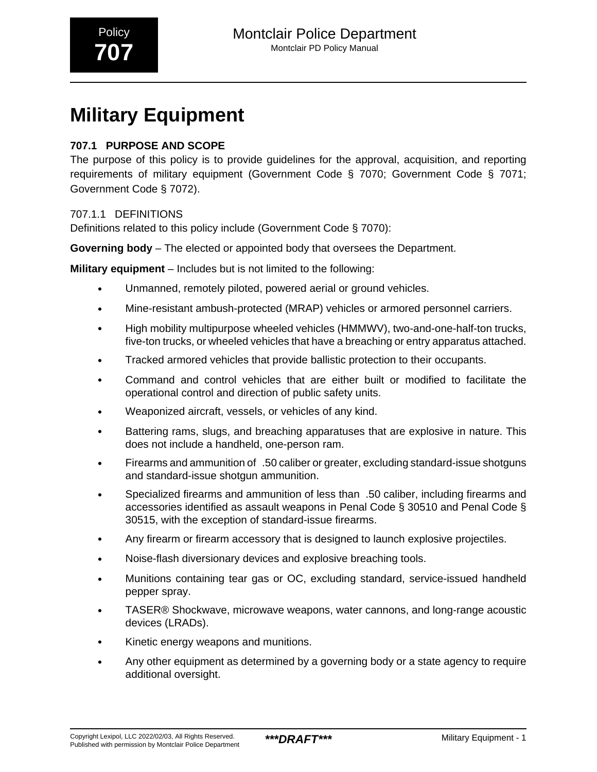# **Military Equipment**

#### **707.1 PURPOSE AND SCOPE**

The purpose of this policy is to provide guidelines for the approval, acquisition, and reporting requirements of military equipment (Government Code § 7070; Government Code § 7071; Government Code § 7072).

#### 707.1.1 DEFINITIONS

Definitions related to this policy include (Government Code § 7070):

**Governing body** – The elected or appointed body that oversees the Department.

**Military equipment** – Includes but is not limited to the following:

- Unmanned, remotely piloted, powered aerial or ground vehicles.
- Mine-resistant ambush-protected (MRAP) vehicles or armored personnel carriers.
- High mobility multipurpose wheeled vehicles (HMMWV), two-and-one-half-ton trucks, five-ton trucks, or wheeled vehicles that have a breaching or entry apparatus attached.
- Tracked armored vehicles that provide ballistic protection to their occupants.
- Command and control vehicles that are either built or modified to facilitate the operational control and direction of public safety units.
- Weaponized aircraft, vessels, or vehicles of any kind.
- Battering rams, slugs, and breaching apparatuses that are explosive in nature. This does not include a handheld, one-person ram.
- Firearms and ammunition of\_.50 caliber or greater, excluding standard-issue shotguns and standard-issue shotgun ammunition.
- Specialized firearms and ammunition of less than\_.50 caliber, including firearms and accessories identified as assault weapons in Penal Code § 30510 and Penal Code § 30515, with the exception of standard-issue firearms.
- Any firearm or firearm accessory that is designed to launch explosive projectiles.
- Noise-flash diversionary devices and explosive breaching tools.
- Munitions containing tear gas or OC, excluding standard, service-issued handheld pepper spray.
- TASER® Shockwave, microwave weapons, water cannons, and long-range acoustic devices (LRADs).
- Kinetic energy weapons and munitions.
- Any other equipment as determined by a governing body or a state agency to require additional oversight.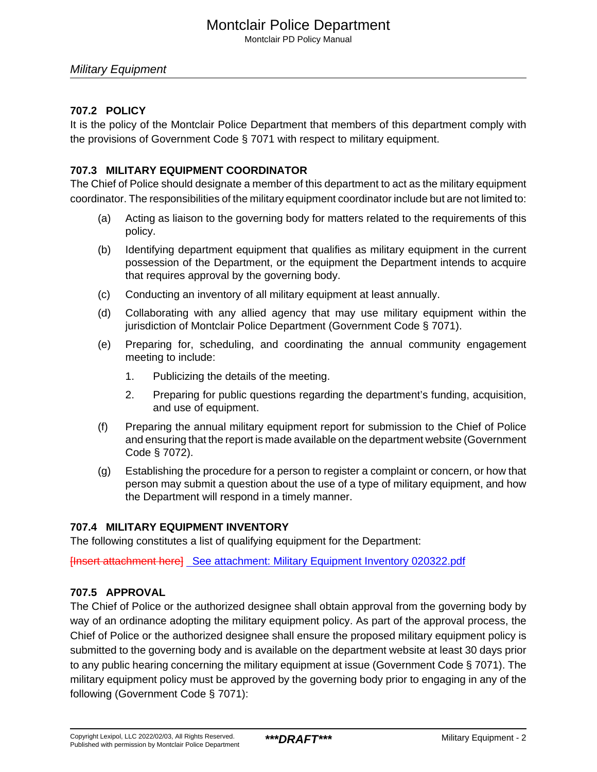### Montclair Police Department

Montclair PD Policy Manual

#### **707.2 POLICY**

It is the policy of the Montclair Police Department that members of this department comply with the provisions of Government Code § 7071 with respect to military equipment.

#### **707.3 MILITARY EQUIPMENT COORDINATOR**

The Chief of Police should designate a member of this department to act as the military equipment coordinator. The responsibilities of the military equipment coordinator include but are not limited to:

- (a) Acting as liaison to the governing body for matters related to the requirements of this policy.
- (b) Identifying department equipment that qualifies as military equipment in the current possession of the Department, or the equipment the Department intends to acquire that requires approval by the governing body.
- (c) Conducting an inventory of all military equipment at least annually.
- (d) Collaborating with any allied agency that may use military equipment within the jurisdiction of Montclair Police Department (Government Code § 7071).
- (e) Preparing for, scheduling, and coordinating the annual community engagement meeting to include:
	- 1. Publicizing the details of the meeting.
	- 2. Preparing for public questions regarding the department's funding, acquisition, and use of equipment.
- (f) Preparing the annual military equipment report for submission to the Chief of Police and ensuring that the report is made available on the department website (Government Code § 7072).
- (g) Establishing the procedure for a person to register a complaint or concern, or how that person may submit a question about the use of a type of military equipment, and how the Department will respond in a timely manner.

#### **707.4 MILITARY EQUIPMENT INVENTORY**

The following constitutes a list of qualifying equipment for the Department:

[Insert attachment here] [See attachment: Military Equipment Inventory 020322.pdf](#page-4-0)

#### **707.5 APPROVAL**

The Chief of Police or the authorized designee shall obtain approval from the governing body by way of an ordinance adopting the military equipment policy. As part of the approval process, the Chief of Police or the authorized designee shall ensure the proposed military equipment policy is submitted to the governing body and is available on the department website at least 30 days prior to any public hearing concerning the military equipment at issue (Government Code § 7071). The military equipment policy must be approved by the governing body prior to engaging in any of the following (Government Code § 7071):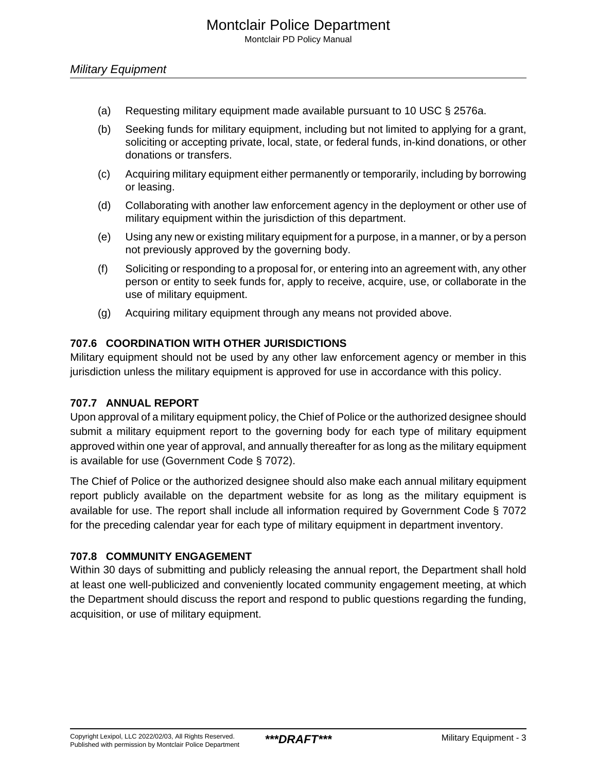- (a) Requesting military equipment made available pursuant to 10 USC § 2576a.
- (b) Seeking funds for military equipment, including but not limited to applying for a grant, soliciting or accepting private, local, state, or federal funds, in-kind donations, or other donations or transfers.
- (c) Acquiring military equipment either permanently or temporarily, including by borrowing or leasing.
- (d) Collaborating with another law enforcement agency in the deployment or other use of military equipment within the jurisdiction of this department.
- (e) Using any new or existing military equipment for a purpose, in a manner, or by a person not previously approved by the governing body.
- (f) Soliciting or responding to a proposal for, or entering into an agreement with, any other person or entity to seek funds for, apply to receive, acquire, use, or collaborate in the use of military equipment.
- (g) Acquiring military equipment through any means not provided above.

#### **707.6 COORDINATION WITH OTHER JURISDICTIONS**

Military equipment should not be used by any other law enforcement agency or member in this jurisdiction unless the military equipment is approved for use in accordance with this policy.

#### **707.7 ANNUAL REPORT**

Upon approval of a military equipment policy, the Chief of Police or the authorized designee should submit a military equipment report to the governing body for each type of military equipment approved within one year of approval, and annually thereafter for as long as the military equipment is available for use (Government Code § 7072).

The Chief of Police or the authorized designee should also make each annual military equipment report publicly available on the department website for as long as the military equipment is available for use. The report shall include all information required by Government Code § 7072 for the preceding calendar year for each type of military equipment in department inventory.

#### **707.8 COMMUNITY ENGAGEMENT**

Within 30 days of submitting and publicly releasing the annual report, the Department shall hold at least one well-publicized and conveniently located community engagement meeting, at which the Department should discuss the report and respond to public questions regarding the funding, acquisition, or use of military equipment.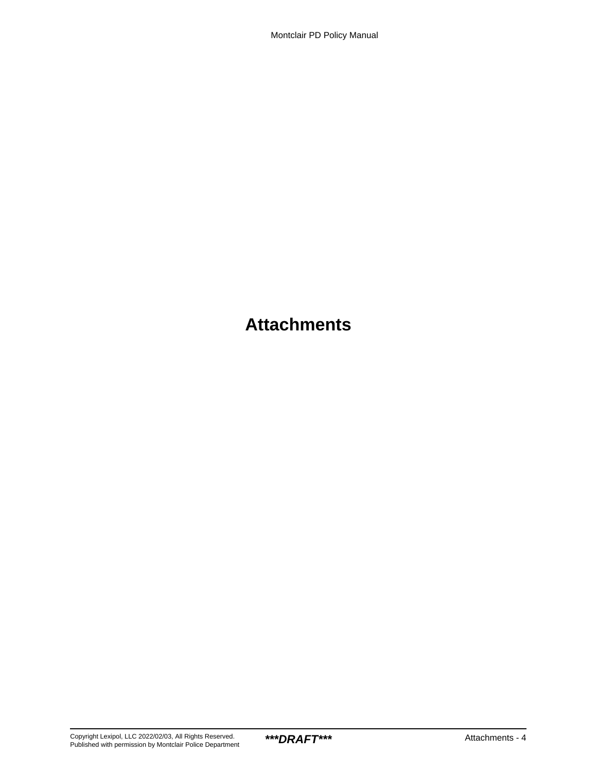## **Attachments**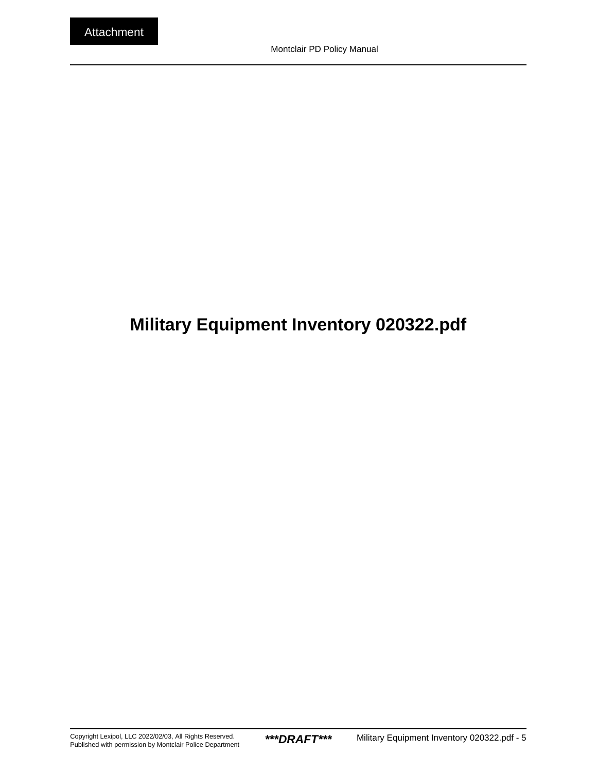# <span id="page-4-0"></span>**Military Equipment Inventory 020322.pdf**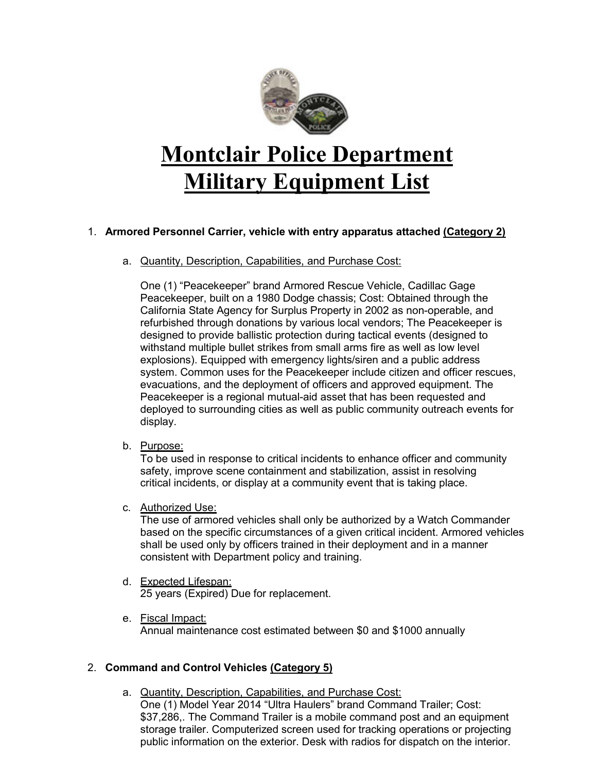

# **Montclair Police Department Military Equipment List**

#### 1. **Armored Personnel Carrier, vehicle with entry apparatus attached (Category 2)**

a. Quantity, Description, Capabilities, and Purchase Cost:

One (1) "Peacekeeper" brand Armored Rescue Vehicle, Cadillac Gage Peacekeeper, built on a 1980 Dodge chassis; Cost: Obtained through the California State Agency for Surplus Property in 2002 as non-operable, and refurbished through donations by various local vendors; The Peacekeeper is designed to provide ballistic protection during tactical events (designed to withstand multiple bullet strikes from small arms fire as well as low level explosions). Equipped with emergency lights/siren and a public address system. Common uses for the Peacekeeper include citizen and officer rescues, evacuations, and the deployment of officers and approved equipment. The Peacekeeper is a regional mutual-aid asset that has been requested and deployed to surrounding cities as well as public community outreach events for display.

b. Purpose:

To be used in response to critical incidents to enhance officer and community safety, improve scene containment and stabilization, assist in resolving critical incidents, or display at a community event that is taking place.

c. Authorized Use:

The use of armored vehicles shall only be authorized by a Watch Commander based on the specific circumstances of a given critical incident. Armored vehicles shall be used only by officers trained in their deployment and in a manner consistent with Department policy and training.

- d. Expected Lifespan: 25 years (Expired) Due for replacement.
- e. Fiscal Impact: Annual maintenance cost estimated between \$0 and \$1000 annually

#### 2. **Command and Control Vehicles (Category 5)**

a. Quantity, Description, Capabilities, and Purchase Cost: One (1) Model Year 2014 "Ultra Haulers" brand Command Trailer; Cost: \$37,286,. The Command Trailer is a mobile command post and an equipment storage trailer. Computerized screen used for tracking operations or projecting public information on the exterior. Desk with radios for dispatch on the interior.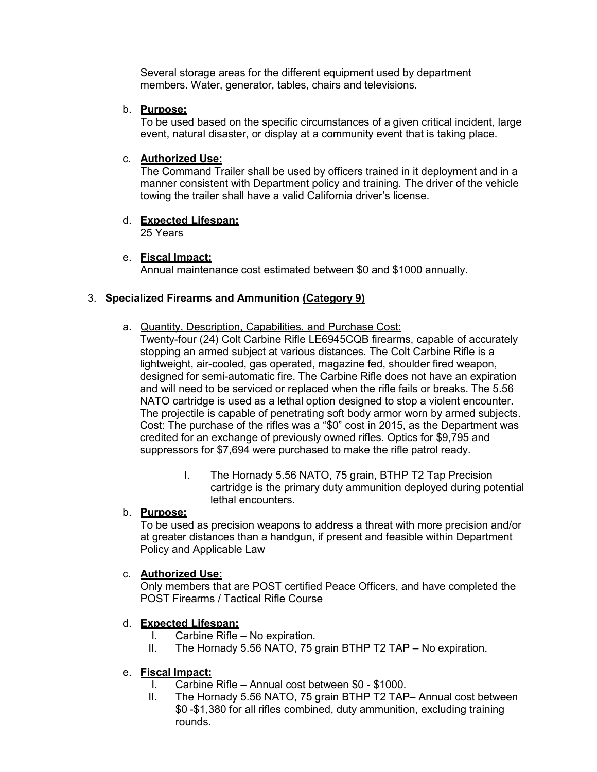Several storage areas for the different equipment used by department members. Water, generator, tables, chairs and televisions.

b. **Purpose:**

To be used based on the specific circumstances of a given critical incident, large event, natural disaster, or display at a community event that is taking place.

#### c. **Authorized Use:**

The Command Trailer shall be used by officers trained in it deployment and in a manner consistent with Department policy and training. The driver of the vehicle towing the trailer shall have a valid California driver's license.

### d. **Expected Lifespan:**

25 Years

#### e. **Fiscal Impact:**

Annual maintenance cost estimated between \$0 and \$1000 annually.

#### 3. **Specialized Firearms and Ammunition (Category 9)**

- a. Quantity, Description, Capabilities, and Purchase Cost:
	- Twenty-four (24) Colt Carbine Rifle LE6945CQB firearms, capable of accurately stopping an armed subject at various distances. The Colt Carbine Rifle is a lightweight, air-cooled, gas operated, magazine fed, shoulder fired weapon, designed for semi-automatic fire. The Carbine Rifle does not have an expiration and will need to be serviced or replaced when the rifle fails or breaks. The 5.56 NATO cartridge is used as a lethal option designed to stop a violent encounter. The projectile is capable of penetrating soft body armor worn by armed subjects. Cost: The purchase of the rifles was a "\$0" cost in 2015, as the Department was credited for an exchange of previously owned rifles. Optics for \$9,795 and suppressors for \$7,694 were purchased to make the rifle patrol ready.
		- I. The Hornady 5.56 NATO, 75 grain, BTHP T2 Tap Precision cartridge is the primary duty ammunition deployed during potential lethal encounters.

#### b. **Purpose:**

To be used as precision weapons to address a threat with more precision and/or at greater distances than a handgun, if present and feasible within Department Policy and Applicable Law

#### c. **Authorized Use:**

Only members that are POST certified Peace Officers, and have completed the POST Firearms / Tactical Rifle Course

#### d. **Expected Lifespan:**

- I. Carbine Rifle No expiration.
- II. The Hornady 5.56 NATO, 75 grain BTHP T2 TAP No expiration.

#### e. **Fiscal Impact:**

- I. Carbine Rifle Annual cost between \$0 \$1000.
- II. The Hornady 5.56 NATO, 75 grain BTHP T2 TAP– Annual cost between \$0 -\$1,380 for all rifles combined, duty ammunition, excluding training rounds.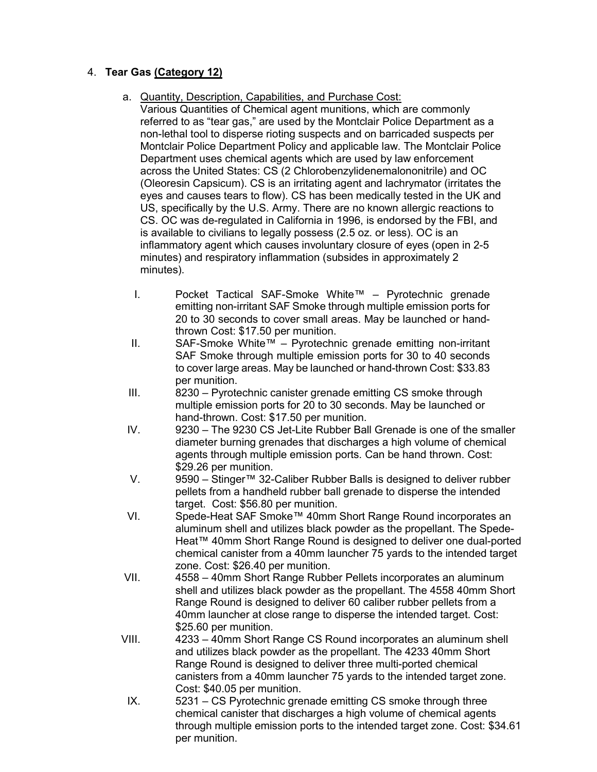#### 4. **Tear Gas (Category 12)**

#### a. Quantity, Description, Capabilities, and Purchase Cost:

- Various Quantities of Chemical agent munitions, which are commonly referred to as "tear gas," are used by the Montclair Police Department as a non-lethal tool to disperse rioting suspects and on barricaded suspects per Montclair Police Department Policy and applicable law. The Montclair Police Department uses chemical agents which are used by law enforcement across the United States: CS (2 Chlorobenzylidenemalononitrile) and OC (Oleoresin Capsicum). CS is an irritating agent and lachrymator (irritates the eyes and causes tears to flow). CS has been medically tested in the UK and US, specifically by the U.S. Army. There are no known allergic reactions to CS. OC was de-regulated in California in 1996, is endorsed by the FBI, and is available to civilians to legally possess (2.5 oz. or less). OC is an inflammatory agent which causes involuntary closure of eyes (open in 2-5 minutes) and respiratory inflammation (subsides in approximately 2 minutes).
- I. Pocket Tactical SAF-Smoke White™ Pyrotechnic grenade emitting non-irritant SAF Smoke through multiple emission ports for 20 to 30 seconds to cover small areas. May be launched or handthrown Cost: \$17.50 per munition.
- II. SAF-Smoke White™ Pyrotechnic grenade emitting non-irritant SAF Smoke through multiple emission ports for 30 to 40 seconds to cover large areas. May be launched or hand-thrown Cost: \$33.83 per munition.
- III. 8230 Pyrotechnic canister grenade emitting CS smoke through multiple emission ports for 20 to 30 seconds. May be launched or hand-thrown. Cost: \$17.50 per munition.
- IV. 9230 The 9230 CS Jet-Lite Rubber Ball Grenade is one of the smaller diameter burning grenades that discharges a high volume of chemical agents through multiple emission ports. Can be hand thrown. Cost: \$29.26 per munition.
- V. 9590 Stinger™ 32-Caliber Rubber Balls is designed to deliver rubber pellets from a handheld rubber ball grenade to disperse the intended target. Cost: \$56.80 per munition.
- VI. Spede-Heat SAF Smoke™ 40mm Short Range Round incorporates an aluminum shell and utilizes black powder as the propellant. The Spede-Heat™ 40mm Short Range Round is designed to deliver one dual-ported chemical canister from a 40mm launcher 75 yards to the intended target zone. Cost: \$26.40 per munition.
- VII. 4558 40mm Short Range Rubber Pellets incorporates an aluminum shell and utilizes black powder as the propellant. The 4558 40mm Short Range Round is designed to deliver 60 caliber rubber pellets from a 40mm launcher at close range to disperse the intended target. Cost: \$25.60 per munition.
- VIII. 4233 40mm Short Range CS Round incorporates an aluminum shell and utilizes black powder as the propellant. The 4233 40mm Short Range Round is designed to deliver three multi-ported chemical canisters from a 40mm launcher 75 yards to the intended target zone. Cost: \$40.05 per munition.
- IX. 5231 CS Pyrotechnic grenade emitting CS smoke through three chemical canister that discharges a high volume of chemical agents through multiple emission ports to the intended target zone. Cost: \$34.61 per munition.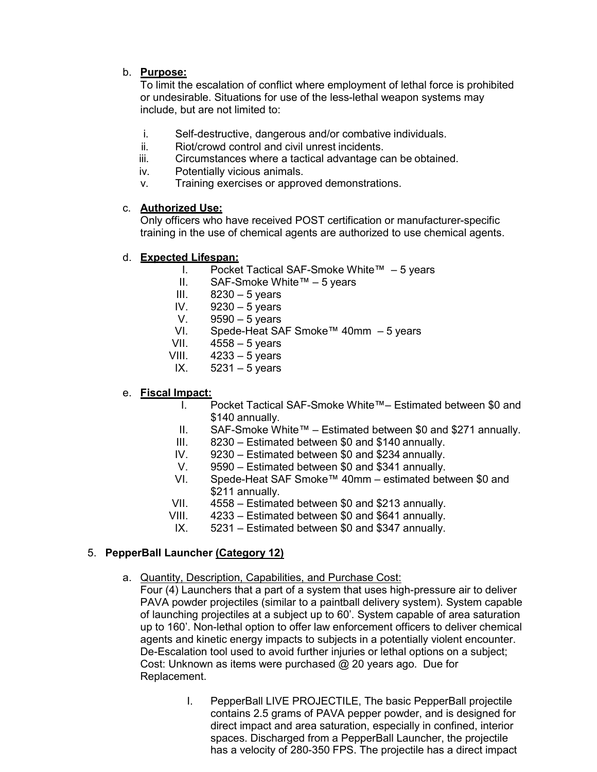#### b. **Purpose:**

To limit the escalation of conflict where employment of lethal force is prohibited or undesirable. Situations for use of the less-lethal weapon systems may include, but are not limited to:

- i. Self-destructive, dangerous and/or combative individuals.
- ii. Riot/crowd control and civil unrest incidents.
- iii. Circumstances where a tactical advantage can be obtained.
- iv. Potentially vicious animals.
- v. Training exercises or approved demonstrations.

#### c. **Authorized Use:**

Only officers who have received POST certification or manufacturer-specific training in the use of chemical agents are authorized to use chemical agents.

#### d. **Expected Lifespan:**

- I. Pocket Tactical SAF-Smoke White™ 5 years
- II. SAF-Smoke White™ 5 years
- III.  $8230 5$  years
- IV. 9230 5 years
- V. 9590 5 years
- VI. Spede-Heat SAF Smoke™ 40mm 5 years
- VII. 4558 5 years
- VIII.  $4233 5$  years
- IX.  $5231 5$  years

#### e. **Fiscal Impact:**

- I. Pocket Tactical SAF-Smoke White™– Estimated between \$0 and \$140 annually.
- II. SAF-Smoke White™ Estimated between \$0 and \$271 annually.
- III. 8230 Estimated between \$0 and \$140 annually.<br>IV. 9230 Estimated between \$0 and \$234 annually.
- $9230$  Estimated between \$0 and \$234 annually.
- V. 9590 Estimated between \$0 and \$341 annually.
- VI. Spede-Heat SAF Smoke™ 40mm estimated between \$0 and \$211 annually.
- VII. 4558 Estimated between \$0 and \$213 annually.
- VIII. 4233 Estimated between \$0 and \$641 annually.
- IX. 5231 Estimated between \$0 and \$347 annually.

#### 5. **PepperBall Launcher (Category 12)**

- a. Quantity, Description, Capabilities, and Purchase Cost:
	- Four (4) Launchers that a part of a system that uses high-pressure air to deliver PAVA powder projectiles (similar to a paintball delivery system). System capable of launching projectiles at a subject up to 60'. System capable of area saturation up to 160'. Non-lethal option to offer law enforcement officers to deliver chemical agents and kinetic energy impacts to subjects in a potentially violent encounter. De-Escalation tool used to avoid further injuries or lethal options on a subject; Cost: Unknown as items were purchased @ 20 years ago. Due for Replacement.
		- I. PepperBall LIVE PROJECTILE, The basic PepperBall projectile contains 2.5 grams of PAVA pepper powder, and is designed for direct impact and area saturation, especially in confined, interior spaces. Discharged from a PepperBall Launcher, the projectile has a velocity of 280-350 FPS. The projectile has a direct impact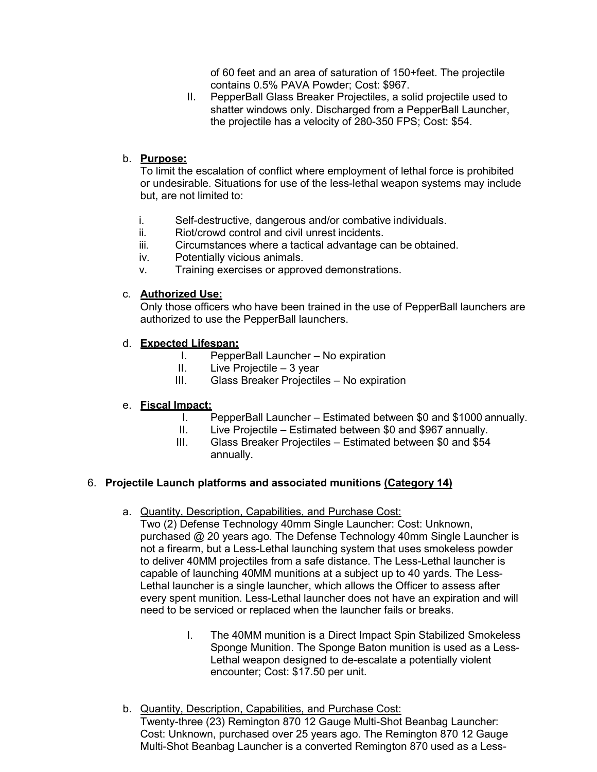of 60 feet and an area of saturation of 150+feet. The projectile contains 0.5% PAVA Powder; Cost: \$967.

II. PepperBall Glass Breaker Projectiles, a solid projectile used to shatter windows only. Discharged from a PepperBall Launcher, the projectile has a velocity of 280-350 FPS; Cost: \$54.

#### b. **Purpose:**

To limit the escalation of conflict where employment of lethal force is prohibited or undesirable. Situations for use of the less-lethal weapon systems may include but, are not limited to:

- i. Self-destructive, dangerous and/or combative individuals.
- ii. Riot/crowd control and civil unrest incidents.
- iii. Circumstances where a tactical advantage can be obtained.
- iv. Potentially vicious animals.
- v. Training exercises or approved demonstrations.

#### c. **Authorized Use:**

Only those officers who have been trained in the use of PepperBall launchers are authorized to use the PepperBall launchers.

#### d. **Expected Lifespan:**

- I. PepperBall Launcher No expiration
- II. Live Projectile 3 year<br>III. Glass Breaker Projectile
- Glass Breaker Projectiles No expiration

#### e. **Fiscal Impact:**

- I. PepperBall Launcher Estimated between \$0 and \$1000 annually.
- II. Live Projectile Estimated between \$0 and \$967 annually.
- III. Glass Breaker Projectiles Estimated between \$0 and \$54 annually.

#### 6. **Projectile Launch platforms and associated munitions (Category 14)**

a. Quantity, Description, Capabilities, and Purchase Cost:

Two (2) Defense Technology 40mm Single Launcher: Cost: Unknown, purchased @ 20 years ago. The Defense Technology 40mm Single Launcher is not a firearm, but a Less-Lethal launching system that uses smokeless powder to deliver 40MM projectiles from a safe distance. The Less-Lethal launcher is capable of launching 40MM munitions at a subject up to 40 yards. The Less-Lethal launcher is a single launcher, which allows the Officer to assess after every spent munition. Less-Lethal launcher does not have an expiration and will need to be serviced or replaced when the launcher fails or breaks.

- I. The 40MM munition is a Direct Impact Spin Stabilized Smokeless Sponge Munition. The Sponge Baton munition is used as a Less-Lethal weapon designed to de-escalate a potentially violent encounter; Cost: \$17.50 per unit.
- b. Quantity, Description, Capabilities, and Purchase Cost: Twenty-three (23) Remington 870 12 Gauge Multi-Shot Beanbag Launcher: Cost: Unknown, purchased over 25 years ago. The Remington 870 12 Gauge Multi-Shot Beanbag Launcher is a converted Remington 870 used as a Less-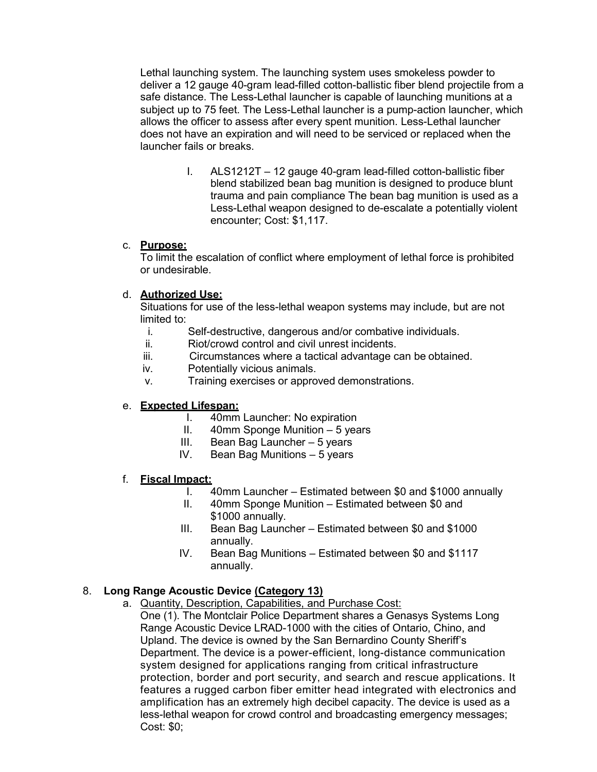Lethal launching system. The launching system uses smokeless powder to deliver a 12 gauge 40-gram lead-filled cotton-ballistic fiber blend projectile from a safe distance. The Less-Lethal launcher is capable of launching munitions at a subject up to 75 feet. The Less-Lethal launcher is a pump-action launcher, which allows the officer to assess after every spent munition. Less-Lethal launcher does not have an expiration and will need to be serviced or replaced when the launcher fails or breaks.

> I. ALS1212T – 12 gauge 40-gram lead-filled cotton-ballistic fiber blend stabilized bean bag munition is designed to produce blunt trauma and pain compliance The bean bag munition is used as a Less-Lethal weapon designed to de-escalate a potentially violent encounter; Cost: \$1,117.

#### c. **Purpose:**

To limit the escalation of conflict where employment of lethal force is prohibited or undesirable.

#### d. **Authorized Use:**

Situations for use of the less-lethal weapon systems may include, but are not limited to:

- i. Self-destructive, dangerous and/or combative individuals.
- Riot/crowd control and civil unrest incidents.
- iii. Circumstances where a tactical advantage can be obtained.
- iv. Potentially vicious animals.
- v. Training exercises or approved demonstrations.

#### e. **Expected Lifespan:**

- I. 40mm Launcher: No expiration
- II. 40mm Sponge Munition 5 years
- III. Bean Bag Launcher 5 years
- IV. Bean Bag Munitions 5 years

#### f. **Fiscal Impact:**

- I. 40mm Launcher Estimated between \$0 and \$1000 annually
- II. 40mm Sponge Munition Estimated between \$0 and \$1000 annually.
- III. Bean Bag Launcher Estimated between \$0 and \$1000 annually.
- IV. Bean Bag Munitions Estimated between \$0 and \$1117 annually.

#### 8. **Long Range Acoustic Device (Category 13)**

a. Quantity, Description, Capabilities, and Purchase Cost: One (1). The Montclair Police Department shares a Genasys Systems Long Range Acoustic Device LRAD-1000 with the cities of Ontario, Chino, and Upland. The device is owned by the San Bernardino County Sheriff's Department. The device is a power-efficient, long-distance communication system designed for applications ranging from critical infrastructure protection, border and port security, and search and rescue applications. It features a rugged carbon fiber emitter head integrated with electronics and amplification has an extremely high decibel capacity. The device is used as a less-lethal weapon for crowd control and broadcasting emergency messages; Cost: \$0;